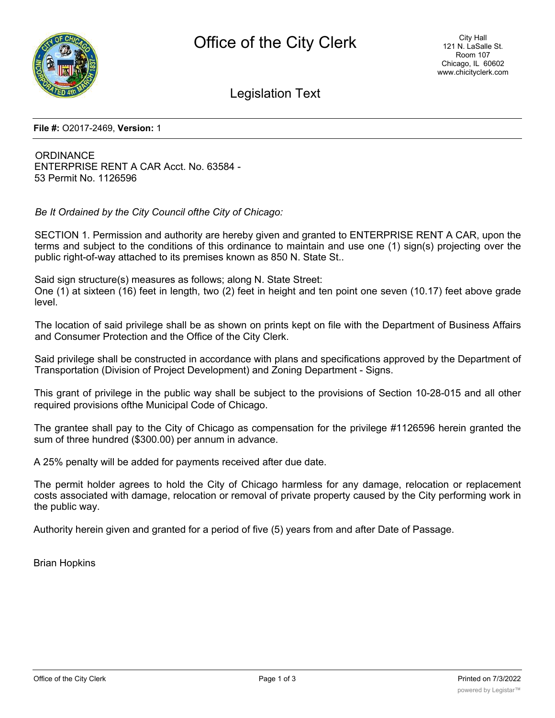

Legislation Text

**File #:** O2017-2469, **Version:** 1

**ORDINANCE** ENTERPRISE RENT A CAR Acct. No. 63584 - 53 Permit No. 1126596

*Be It Ordained by the City Council ofthe City of Chicago:*

SECTION 1. Permission and authority are hereby given and granted to ENTERPRISE RENT A CAR, upon the terms and subject to the conditions of this ordinance to maintain and use one (1) sign(s) projecting over the public right-of-way attached to its premises known as 850 N. State St..

Said sign structure(s) measures as follows; along N. State Street: One (1) at sixteen (16) feet in length, two (2) feet in height and ten point one seven (10.17) feet above grade level.

The location of said privilege shall be as shown on prints kept on file with the Department of Business Affairs and Consumer Protection and the Office of the City Clerk.

Said privilege shall be constructed in accordance with plans and specifications approved by the Department of Transportation (Division of Project Development) and Zoning Department - Signs.

This grant of privilege in the public way shall be subject to the provisions of Section 10-28-015 and all other required provisions ofthe Municipal Code of Chicago.

The grantee shall pay to the City of Chicago as compensation for the privilege #1126596 herein granted the sum of three hundred (\$300.00) per annum in advance.

A 25% penalty will be added for payments received after due date.

The permit holder agrees to hold the City of Chicago harmless for any damage, relocation or replacement costs associated with damage, relocation or removal of private property caused by the City performing work in the public way.

Authority herein given and granted for a period of five (5) years from and after Date of Passage.

Brian Hopkins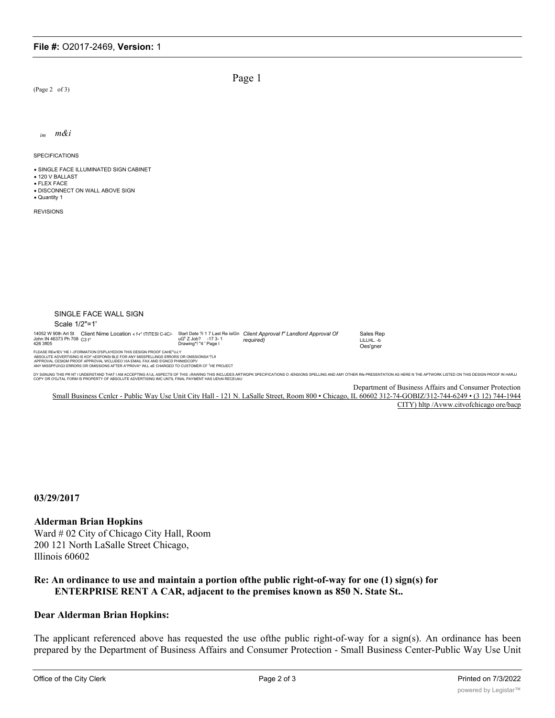$(Page 2 of 3)$ 

Page 1

m&i  $im$ 

SPECIFICATIONS

· SINGLE FACE ILLUMINATED SIGN CABINET

- 120 V BALLAST
- $\bullet$  FI FX FACF

. DISCONNECT ON WALL ABOVE SIGN · Quantity 1

**REVISIONS** 



Department of Business Affairs and Consumer Protection

Small Business Cenler - Public Way Use Unit City Hall - 121 N. LaSalle Street, Room 800 · Chicago, IL 60602 312-74-GOBIZ/312-744-6249 · (3 12) 744-1944 CITY) hltp /Avww.citvofchicago ore/bacp

03/29/2017

## **Alderman Brian Hopkins**

Ward #02 City of Chicago City Hall, Room 200 121 North LaSalle Street Chicago, Illinois 60602

## Re: An ordinance to use and maintain a portion of the public right-of-way for one (1) sign(s) for **ENTERPRISE RENT A CAR, adjacent to the premises known as 850 N. State St..**

## **Dear Alderman Brian Hopkins:**

The applicant referenced above has requested the use ofthe public right-of-way for a sign(s). An ordinance has been prepared by the Department of Business Affairs and Consumer Protection - Small Business Center-Public Way Use Unit